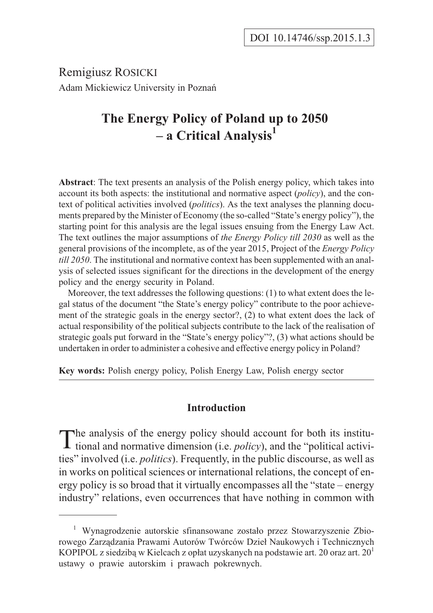Remigiusz ROSICKI Adam Mickiewicz University in Poznañ

# **The Energy Policy of Poland up to 2050 – a Critical Analysis1**

**Abstract**: The text presents an analysis of the Polish energy policy, which takes into account its both aspects: the institutional and normative aspect (*policy*), and the context of political activities involved (*politics*). As the text analyses the planning documents prepared by the Minister of Economy (the so-called "State's energy policy"), the starting point for this analysis are the legal issues ensuing from the Energy Law Act. The text outlines the major assumptions of *the Energy Policy till 2030* as well as the general provisions of the incomplete, as of the year 2015, Project of the *Energy Policy till 2050*. The institutional and normative context has been supplemented with an analysis of selected issues significant for the directions in the development of the energy policy and the energy security in Poland.

Moreover, the text addresses the following questions: (1) to what extent does the legal status of the document "the State's energy policy" contribute to the poor achievement of the strategic goals in the energy sector?, (2) to what extent does the lack of actual responsibility of the political subjects contribute to the lack of the realisation of strategic goals put forward in the "State's energy policy"?, (3) what actions should be undertaken in order to administer a cohesive and effective energy policy in Poland?

**Key words:** Polish energy policy, Polish Energy Law, Polish energy sector

## **Introduction**

The analysis of the energy policy should account for both its institu-<br>tional and normative dimension (i.e. *policy*), and the "political activities" involved (i.e. *politics*). Frequently, in the public discourse, as well as in works on political sciences or international relations, the concept of energy policy is so broad that it virtually encompasses all the "state – energy industry" relations, even occurrences that have nothing in common with

<sup>&</sup>lt;sup>1</sup> Wynagrodzenie autorskie sfinansowane zostało przez Stowarzyszenie Zbiorowego Zarządzania Prawami Autorów Twórców Dzieł Naukowych i Technicznych KOPIPOL z siedzibą w Kielcach z opłat uzyskanych na podstawie art. 20 oraz art.  $20<sup>1</sup>$ ustawy o prawie autorskim i prawach pokrewnych.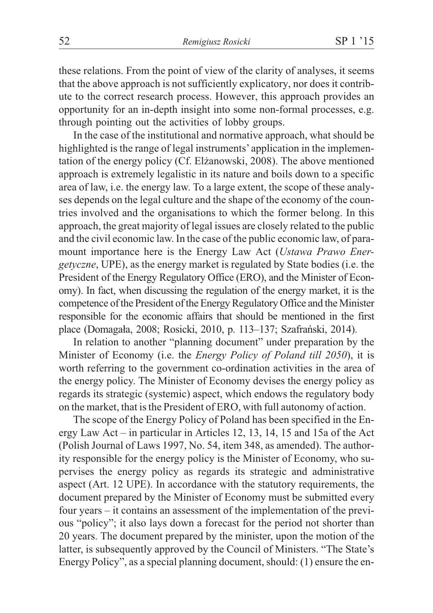these relations. From the point of view of the clarity of analyses, it seems that the above approach is not sufficiently explicatory, nor does it contribute to the correct research process. However, this approach provides an opportunity for an in-depth insight into some non-formal processes, e.g. through pointing out the activities of lobby groups.

In the case of the institutional and normative approach, what should be highlighted is the range of legal instruments' application in the implementation of the energy policy (Cf. Elżanowski, 2008). The above mentioned approach is extremely legalistic in its nature and boils down to a specific area of law, i.e. the energy law. To a large extent, the scope of these analyses depends on the legal culture and the shape of the economy of the countries involved and the organisations to which the former belong. In this approach, the great majority of legal issues are closely related to the public and the civil economic law. In the case of the public economic law, of paramount importance here is the Energy Law Act (*Ustawa Prawo Energetyczne*, UPE), as the energy market is regulated by State bodies (i.e. the President of the Energy Regulatory Office (ERO), and the Minister of Economy). In fact, when discussing the regulation of the energy market, it is the competence of the President of the Energy Regulatory Office and the Minister responsible for the economic affairs that should be mentioned in the first place (Domagała, 2008; Rosicki, 2010, p. 113–137; Szafrański, 2014).

In relation to another "planning document" under preparation by the Minister of Economy (i.e. the *Energy Policy of Poland till 2050*), it is worth referring to the government co-ordination activities in the area of the energy policy. The Minister of Economy devises the energy policy as regards its strategic (systemic) aspect, which endows the regulatory body on the market, that is the President of ERO, with full autonomy of action.

The scope of the Energy Policy of Poland has been specified in the Energy Law Act – in particular in Articles 12, 13, 14, 15 and 15a of the Act (Polish Journal of Laws 1997, No. 54, item 348, as amended). The authority responsible for the energy policy is the Minister of Economy, who supervises the energy policy as regards its strategic and administrative aspect (Art. 12 UPE). In accordance with the statutory requirements, the document prepared by the Minister of Economy must be submitted every four years – it contains an assessment of the implementation of the previous "policy"; it also lays down a forecast for the period not shorter than 20 years. The document prepared by the minister, upon the motion of the latter, is subsequently approved by the Council of Ministers. "The State's Energy Policy", as a special planning document, should: (1) ensure the en-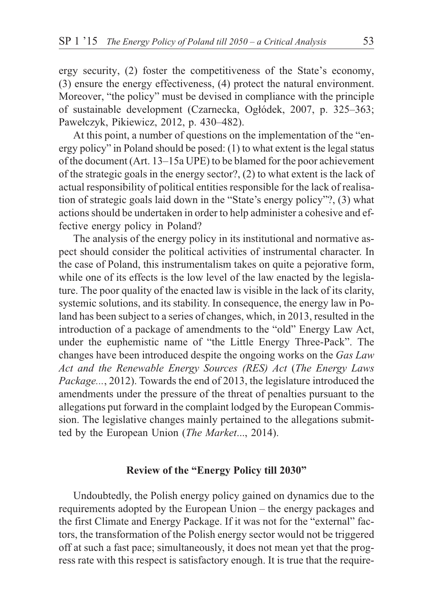ergy security, (2) foster the competitiveness of the State's economy, (3) ensure the energy effectiveness, (4) protect the natural environment. Moreover, "the policy" must be devised in compliance with the principle of sustainable development (Czarnecka, Ogłódek, 2007, p. 325–363; Pawełczyk, Pikiewicz, 2012, p. 430–482).

At this point, a number of questions on the implementation of the "energy policy" in Poland should be posed: (1) to what extent is the legal status of the document (Art. 13–15a UPE) to be blamed for the poor achievement of the strategic goals in the energy sector?, (2) to what extent is the lack of actual responsibility of political entities responsible for the lack of realisation of strategic goals laid down in the "State's energy policy"?, (3) what actions should be undertaken in order to help administer a cohesive and effective energy policy in Poland?

The analysis of the energy policy in its institutional and normative aspect should consider the political activities of instrumental character. In the case of Poland, this instrumentalism takes on quite a pejorative form, while one of its effects is the low level of the law enacted by the legislature. The poor quality of the enacted law is visible in the lack of its clarity, systemic solutions, and its stability. In consequence, the energy law in Poland has been subject to a series of changes, which, in 2013, resulted in the introduction of a package of amendments to the "old" Energy Law Act, under the euphemistic name of "the Little Energy Three-Pack". The changes have been introduced despite the ongoing works on the *Gas Law Act and the Renewable Energy Sources (RES) Act* (*The Energy Laws Package...*, 2012). Towards the end of 2013, the legislature introduced the amendments under the pressure of the threat of penalties pursuant to the allegations put forward in the complaint lodged by the European Commission. The legislative changes mainly pertained to the allegations submitted by the European Union (*The Market*..., 2014).

## **Review of the "Energy Policy till 2030"**

Undoubtedly, the Polish energy policy gained on dynamics due to the requirements adopted by the European Union – the energy packages and the first Climate and Energy Package. If it was not for the "external" factors, the transformation of the Polish energy sector would not be triggered off at such a fast pace; simultaneously, it does not mean yet that the progress rate with this respect is satisfactory enough. It is true that the require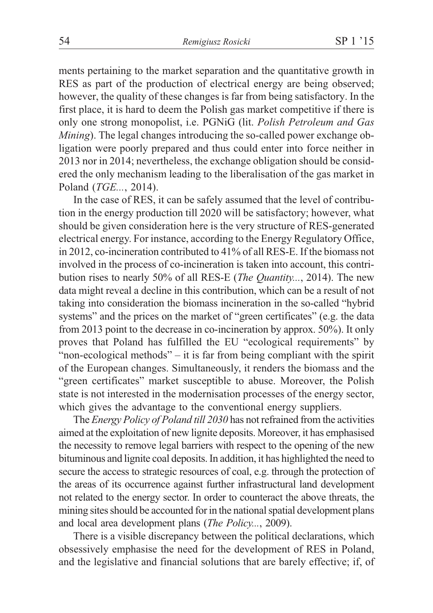ments pertaining to the market separation and the quantitative growth in RES as part of the production of electrical energy are being observed; however, the quality of these changes is far from being satisfactory. In the first place, it is hard to deem the Polish gas market competitive if there is only one strong monopolist, i.e. PGNiG (lit. *Polish Petroleum and Gas Mining*). The legal changes introducing the so-called power exchange obligation were poorly prepared and thus could enter into force neither in 2013 nor in 2014; nevertheless, the exchange obligation should be considered the only mechanism leading to the liberalisation of the gas market in Poland (*TGE...*, 2014).

In the case of RES, it can be safely assumed that the level of contribution in the energy production till 2020 will be satisfactory; however, what should be given consideration here is the very structure of RES-generated electrical energy. For instance, according to the Energy Regulatory Office, in 2012, co-incineration contributed to 41% of all RES-E. If the biomass not involved in the process of co-incineration is taken into account, this contribution rises to nearly 50% of all RES-E (*The Quantity...*, 2014). The new data might reveal a decline in this contribution, which can be a result of not taking into consideration the biomass incineration in the so-called "hybrid systems" and the prices on the market of "green certificates" (e.g. the data from 2013 point to the decrease in co-incineration by approx. 50%). It only proves that Poland has fulfilled the EU "ecological requirements" by "non-ecological methods" – it is far from being compliant with the spirit of the European changes. Simultaneously, it renders the biomass and the "green certificates" market susceptible to abuse. Moreover, the Polish state is not interested in the modernisation processes of the energy sector, which gives the advantage to the conventional energy suppliers.

The *Energy Policy of Poland till 2030* has not refrained from the activities aimed at the exploitation of new lignite deposits. Moreover, it has emphasised the necessity to remove legal barriers with respect to the opening of the new bituminous and lignite coal deposits. In addition, it has highlighted the need to secure the access to strategic resources of coal, e.g. through the protection of the areas of its occurrence against further infrastructural land development not related to the energy sector. In order to counteract the above threats, the mining sites should be accounted for in the national spatial development plans and local area development plans (*The Policy...*, 2009).

There is a visible discrepancy between the political declarations, which obsessively emphasise the need for the development of RES in Poland, and the legislative and financial solutions that are barely effective; if, of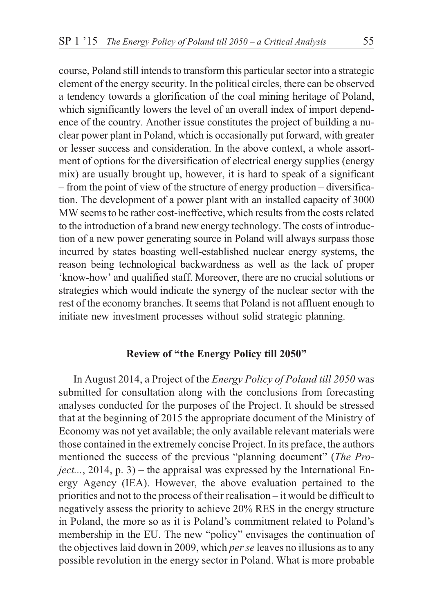course, Poland still intends to transform this particular sector into a strategic element of the energy security. In the political circles, there can be observed a tendency towards a glorification of the coal mining heritage of Poland, which significantly lowers the level of an overall index of import dependence of the country. Another issue constitutes the project of building a nuclear power plant in Poland, which is occasionally put forward, with greater or lesser success and consideration. In the above context, a whole assortment of options for the diversification of electrical energy supplies (energy mix) are usually brought up, however, it is hard to speak of a significant – from the point of view of the structure of energy production – diversification. The development of a power plant with an installed capacity of 3000 MW seems to be rather cost-ineffective, which results from the costs related to the introduction of a brand new energy technology. The costs of introduction of a new power generating source in Poland will always surpass those incurred by states boasting well-established nuclear energy systems, the reason being technological backwardness as well as the lack of proper 'know-how' and qualified staff. Moreover, there are no crucial solutions or strategies which would indicate the synergy of the nuclear sector with the rest of the economy branches. It seems that Poland is not affluent enough to initiate new investment processes without solid strategic planning.

## **Review of "the Energy Policy till 2050"**

In August 2014, a Project of the *Energy Policy of Poland till 2050* was submitted for consultation along with the conclusions from forecasting analyses conducted for the purposes of the Project. It should be stressed that at the beginning of 2015 the appropriate document of the Ministry of Economy was not yet available; the only available relevant materials were those contained in the extremely concise Project. In its preface, the authors mentioned the success of the previous "planning document" (*The Project...*, 2014, p. 3) – the appraisal was expressed by the International Energy Agency (IEA). However, the above evaluation pertained to the priorities and not to the process of their realisation – it would be difficult to negatively assess the priority to achieve 20% RES in the energy structure in Poland, the more so as it is Poland's commitment related to Poland's membership in the EU. The new "policy" envisages the continuation of the objectives laid down in 2009, which *per se* leaves no illusions as to any possible revolution in the energy sector in Poland. What is more probable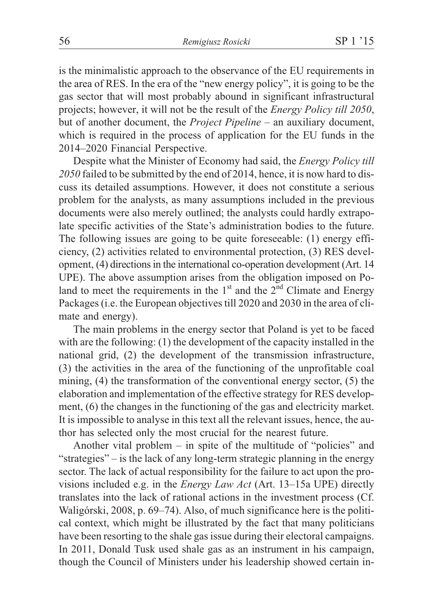is the minimalistic approach to the observance of the EU requirements in the area of RES. In the era of the "new energy policy", it is going to be the gas sector that will most probably abound in significant infrastructural projects; however, it will not be the result of the *Energy Policy till 2050*, but of another document, the *Project Pipeline –* an auxiliary document, which is required in the process of application for the EU funds in the 2014–2020 Financial Perspective.

Despite what the Minister of Economy had said, the *Energy Policy till 2050* failed to be submitted by the end of 2014, hence, it is now hard to discuss its detailed assumptions. However, it does not constitute a serious problem for the analysts, as many assumptions included in the previous documents were also merely outlined; the analysts could hardly extrapolate specific activities of the State's administration bodies to the future. The following issues are going to be quite foreseeable: (1) energy efficiency, (2) activities related to environmental protection, (3) RES development, (4) directions in the international co-operation development (Art. 14 UPE). The above assumption arises from the obligation imposed on Poland to meet the requirements in the  $1<sup>st</sup>$  and the  $2<sup>nd</sup>$  Climate and Energy Packages (i.e. the European objectives till 2020 and 2030 in the area of climate and energy).

The main problems in the energy sector that Poland is yet to be faced with are the following: (1) the development of the capacity installed in the national grid, (2) the development of the transmission infrastructure, (3) the activities in the area of the functioning of the unprofitable coal mining, (4) the transformation of the conventional energy sector, (5) the elaboration and implementation of the effective strategy for RES development, (6) the changes in the functioning of the gas and electricity market. It is impossible to analyse in this text all the relevant issues, hence, the author has selected only the most crucial for the nearest future.

Another vital problem – in spite of the multitude of "policies" and "strategies" – is the lack of any long-term strategic planning in the energy sector. The lack of actual responsibility for the failure to act upon the provisions included e.g. in the *Energy Law Act* (Art. 13–15a UPE) directly translates into the lack of rational actions in the investment process (Cf. Waligórski, 2008, p. 69–74). Also, of much significance here is the political context, which might be illustrated by the fact that many politicians have been resorting to the shale gas issue during their electoral campaigns. In 2011, Donald Tusk used shale gas as an instrument in his campaign, though the Council of Ministers under his leadership showed certain in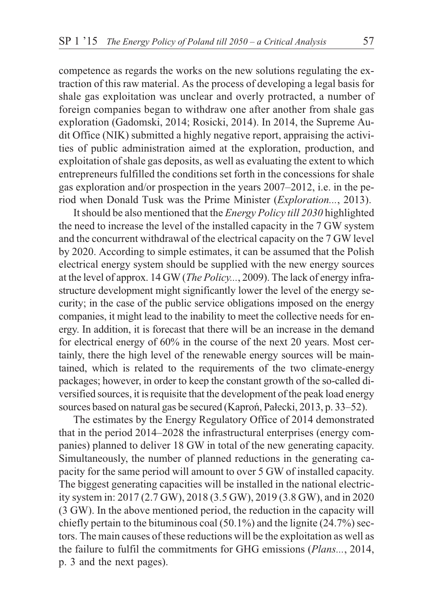competence as regards the works on the new solutions regulating the extraction of this raw material. As the process of developing a legal basis for shale gas exploitation was unclear and overly protracted, a number of foreign companies began to withdraw one after another from shale gas exploration (Gadomski, 2014; Rosicki, 2014). In 2014, the Supreme Audit Office (NIK) submitted a highly negative report, appraising the activities of public administration aimed at the exploration, production, and exploitation of shale gas deposits, as well as evaluating the extent to which entrepreneurs fulfilled the conditions set forth in the concessions for shale gas exploration and/or prospection in the years 2007–2012, i.e. in the period when Donald Tusk was the Prime Minister (*Exploration...*, 2013).

It should be also mentioned that the *Energy Policy till 2030* highlighted the need to increase the level of the installed capacity in the 7 GW system and the concurrent withdrawal of the electrical capacity on the 7 GW level by 2020. According to simple estimates, it can be assumed that the Polish electrical energy system should be supplied with the new energy sources at the level of approx. 14 GW (*The Policy...*, 2009). The lack of energy infrastructure development might significantly lower the level of the energy security; in the case of the public service obligations imposed on the energy companies, it might lead to the inability to meet the collective needs for energy. In addition, it is forecast that there will be an increase in the demand for electrical energy of 60% in the course of the next 20 years. Most certainly, there the high level of the renewable energy sources will be maintained, which is related to the requirements of the two climate-energy packages; however, in order to keep the constant growth of the so-called diversified sources, it is requisite that the development of the peak load energy sources based on natural gas be secured (Kaproń, Pałecki, 2013, p. 33–52).

The estimates by the Energy Regulatory Office of 2014 demonstrated that in the period 2014–2028 the infrastructural enterprises (energy companies) planned to deliver 18 GW in total of the new generating capacity. Simultaneously, the number of planned reductions in the generating capacity for the same period will amount to over 5 GW of installed capacity. The biggest generating capacities will be installed in the national electricity system in: 2017 (2.7 GW), 2018 (3.5 GW), 2019 (3.8 GW), and in 2020 (3 GW). In the above mentioned period, the reduction in the capacity will chiefly pertain to the bituminous coal  $(50.1\%)$  and the lignite  $(24.7\%)$  sectors. The main causes of these reductions will be the exploitation as well as the failure to fulfil the commitments for GHG emissions (*Plans...*, 2014, p. 3 and the next pages).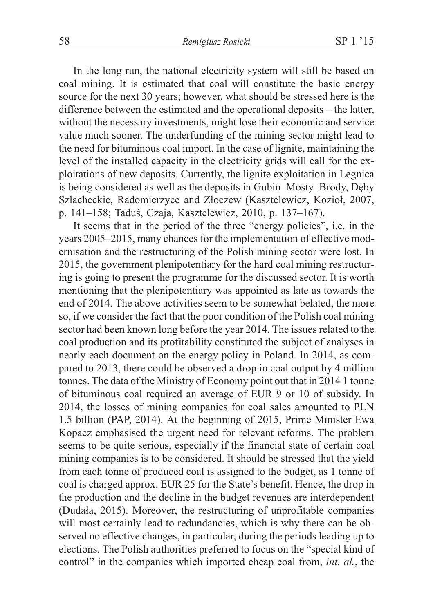In the long run, the national electricity system will still be based on coal mining. It is estimated that coal will constitute the basic energy source for the next 30 years; however, what should be stressed here is the difference between the estimated and the operational deposits – the latter, without the necessary investments, might lose their economic and service value much sooner. The underfunding of the mining sector might lead to the need for bituminous coal import. In the case of lignite, maintaining the level of the installed capacity in the electricity grids will call for the exploitations of new deposits. Currently, the lignite exploitation in Legnica is being considered as well as the deposits in Gubin–Mosty–Brody, Dêby Szlacheckie, Radomierzyce and Złoczew (Kasztelewicz, Kozioł, 2007, p. 141–158; Taduś, Czaja, Kasztelewicz, 2010, p. 137–167).

It seems that in the period of the three "energy policies", i.e. in the years 2005–2015, many chances for the implementation of effective modernisation and the restructuring of the Polish mining sector were lost. In 2015, the government plenipotentiary for the hard coal mining restructuring is going to present the programme for the discussed sector. It is worth mentioning that the plenipotentiary was appointed as late as towards the end of 2014. The above activities seem to be somewhat belated, the more so, if we consider the fact that the poor condition of the Polish coal mining sector had been known long before the year 2014. The issues related to the coal production and its profitability constituted the subject of analyses in nearly each document on the energy policy in Poland. In 2014, as compared to 2013, there could be observed a drop in coal output by 4 million tonnes. The data of the Ministry of Economy point out that in 2014 1 tonne of bituminous coal required an average of EUR 9 or 10 of subsidy. In 2014, the losses of mining companies for coal sales amounted to PLN 1.5 billion (PAP, 2014). At the beginning of 2015, Prime Minister Ewa Kopacz emphasised the urgent need for relevant reforms. The problem seems to be quite serious, especially if the financial state of certain coal mining companies is to be considered. It should be stressed that the yield from each tonne of produced coal is assigned to the budget, as 1 tonne of coal is charged approx. EUR 25 for the State's benefit. Hence, the drop in the production and the decline in the budget revenues are interdependent (Dudała, 2015). Moreover, the restructuring of unprofitable companies will most certainly lead to redundancies, which is why there can be observed no effective changes, in particular, during the periods leading up to elections. The Polish authorities preferred to focus on the "special kind of control" in the companies which imported cheap coal from, *int. al.*, the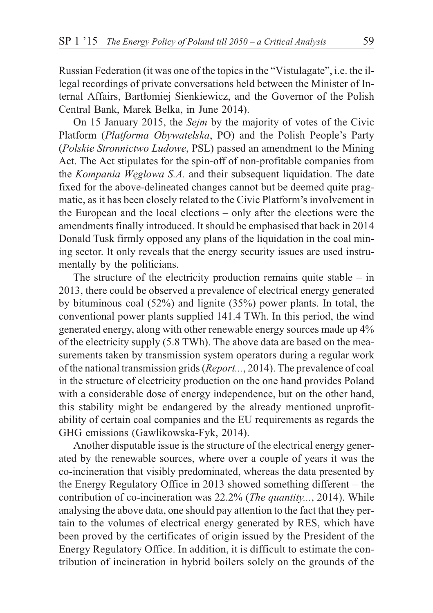Russian Federation (it was one of the topics in the "Vistulagate", i.e. the illegal recordings of private conversations held between the Minister of Internal Affairs, Bartłomiej Sienkiewicz, and the Governor of the Polish Central Bank, Marek Belka, in June 2014).

On 15 January 2015, the *Sejm* by the majority of votes of the Civic Platform (*Platforma Obywatelska*, PO) and the Polish People's Party (*Polskie Stronnictwo Ludowe*, PSL) passed an amendment to the Mining Act. The Act stipulates for the spin-off of non-profitable companies from the *Kompania Wêglowa S.A.* and their subsequent liquidation. The date fixed for the above-delineated changes cannot but be deemed quite pragmatic, as it has been closely related to the Civic Platform's involvement in the European and the local elections – only after the elections were the amendments finally introduced. It should be emphasised that back in 2014 Donald Tusk firmly opposed any plans of the liquidation in the coal mining sector. It only reveals that the energy security issues are used instrumentally by the politicians.

The structure of the electricity production remains quite stable  $-$  in 2013, there could be observed a prevalence of electrical energy generated by bituminous coal (52%) and lignite (35%) power plants. In total, the conventional power plants supplied 141.4 TWh. In this period, the wind generated energy, along with other renewable energy sources made up 4% of the electricity supply (5.8 TWh). The above data are based on the measurements taken by transmission system operators during a regular work of the national transmission grids (*Report...*, 2014). The prevalence of coal in the structure of electricity production on the one hand provides Poland with a considerable dose of energy independence, but on the other hand, this stability might be endangered by the already mentioned unprofitability of certain coal companies and the EU requirements as regards the GHG emissions (Gawlikowska-Fyk, 2014).

Another disputable issue is the structure of the electrical energy generated by the renewable sources, where over a couple of years it was the co-incineration that visibly predominated, whereas the data presented by the Energy Regulatory Office in 2013 showed something different – the contribution of co-incineration was 22.2% (*The quantity...*, 2014). While analysing the above data, one should pay attention to the fact that they pertain to the volumes of electrical energy generated by RES, which have been proved by the certificates of origin issued by the President of the Energy Regulatory Office. In addition, it is difficult to estimate the contribution of incineration in hybrid boilers solely on the grounds of the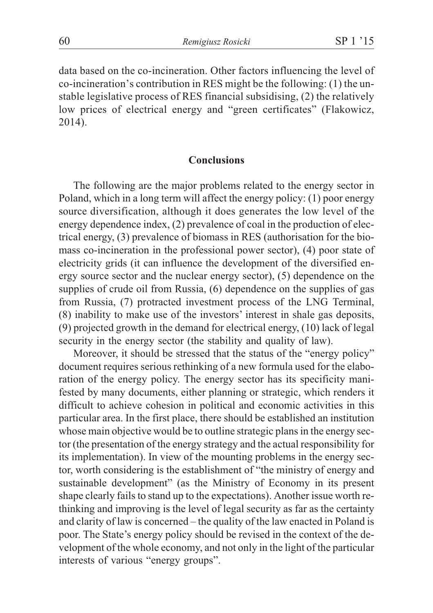data based on the co-incineration. Other factors influencing the level of co-incineration's contribution in RES might be the following: (1) the unstable legislative process of RES financial subsidising, (2) the relatively low prices of electrical energy and "green certificates" (Flakowicz, 2014).

## **Conclusions**

The following are the major problems related to the energy sector in Poland, which in a long term will affect the energy policy: (1) poor energy source diversification, although it does generates the low level of the energy dependence index, (2) prevalence of coal in the production of electrical energy, (3) prevalence of biomass in RES (authorisation for the biomass co-incineration in the professional power sector), (4) poor state of electricity grids (it can influence the development of the diversified energy source sector and the nuclear energy sector), (5) dependence on the supplies of crude oil from Russia, (6) dependence on the supplies of gas from Russia, (7) protracted investment process of the LNG Terminal, (8) inability to make use of the investors' interest in shale gas deposits, (9) projected growth in the demand for electrical energy, (10) lack of legal security in the energy sector (the stability and quality of law).

Moreover, it should be stressed that the status of the "energy policy" document requires serious rethinking of a new formula used for the elaboration of the energy policy. The energy sector has its specificity manifested by many documents, either planning or strategic, which renders it difficult to achieve cohesion in political and economic activities in this particular area. In the first place, there should be established an institution whose main objective would be to outline strategic plans in the energy sector (the presentation of the energy strategy and the actual responsibility for its implementation). In view of the mounting problems in the energy sector, worth considering is the establishment of "the ministry of energy and sustainable development" (as the Ministry of Economy in its present shape clearly fails to stand up to the expectations). Another issue worth rethinking and improving is the level of legal security as far as the certainty and clarity of law is concerned – the quality of the law enacted in Poland is poor. The State's energy policy should be revised in the context of the development of the whole economy, and not only in the light of the particular interests of various "energy groups".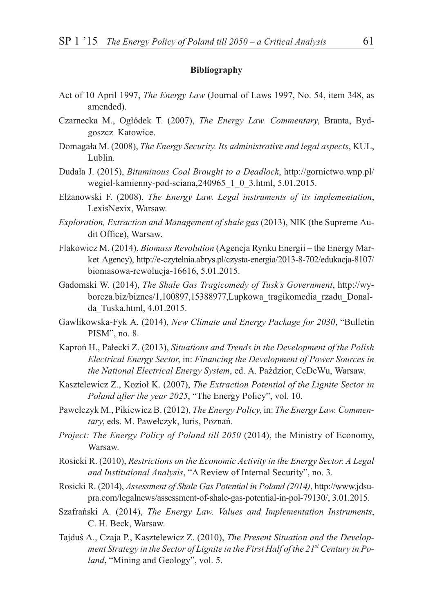#### **Bibliography**

- Act of 10 April 1997, *The Energy Law* (Journal of Laws 1997, No. 54, item 348, as amended).
- Czarnecka M., Ogłódek T. (2007), *The Energy Law. Commentary*, Branta, Bydgoszcz–Katowice.
- Domagała M. (2008), *The Energy Security. Its administrative and legal aspects*, KUL, Lublin.
- Duda³a J. (2015), *Bituminous Coal Brought to a Deadlock*, http://gornictwo.wnp.pl/ wegiel-kamienny-pod-sciana,240965\_1\_0\_3.html, 5.01.2015.
- El¿anowski F. (2008), *The Energy Law. Legal instruments of its implementation*, LexisNexix, Warsaw.
- *Exploration, Extraction and Management of shale gas* (2013), NIK (the Supreme Audit Office), Warsaw.
- Flakowicz M. (2014), *Biomass Revolution* (Agencja Rynku Energii the Energy Market Agency), http://e-czytelnia.abrys.pl/czysta-energia/2013-8-702/edukacja-8107/ biomasowa-rewolucja-16616, 5.01.2015.
- Gadomski W. (2014), *The Shale Gas Tragicomedy of Tusk's Government*, http://wyborcza.biz/biznes/1,100897,15388977,Lupkowa\_tragikomedia\_rzadu\_Donalda\_Tuska.html, 4.01.2015.
- Gawlikowska-Fyk A. (2014), *New Climate and Energy Package for 2030*, "Bulletin PISM", no. 8.
- Kapron<sup>f</sup> H., Pałecki Z. (2013), *Situations and Trends in the Development of the Polish Electrical Energy Sector*, in: *Financing the Development of Power Sources in the National Electrical Energy System*, ed. A. Paździor, CeDeWu, Warsaw.
- Kasztelewicz Z., Kozioł K. (2007), *The Extraction Potential of the Lignite Sector in Poland after the year 2025*, "The Energy Policy", vol. 10.
- Pawe³czyk M., Pikiewicz B. (2012), *The Energy Policy*, in: *The Energy Law. Commen*tary, eds. M. Pawełczyk, Iuris, Poznań.
- *Project: The Energy Policy of Poland till 2050* (2014), the Ministry of Economy, Warsaw.
- Rosicki R. (2010), *Restrictions on the Economic Activity in the Energy Sector. A Legal and Institutional Analysis*, "A Review of Internal Security", no. 3.
- Rosicki R. (2014), *Assessment of Shale Gas Potential in Poland (2014)*, http://www.jdsupra.com/legalnews/assessment-of-shale-gas-potential-in-pol-79130/, 3.01.2015.
- Szafrañski A. (2014), *The Energy Law. Values and Implementation Instruments*, C. H. Beck, Warsaw.
- Tajduś A., Czaja P., Kasztelewicz Z. (2010), *The Present Situation and the Development Strategy in the Sector of Lignite in the First Half of the 21st Century in Poland*, "Mining and Geology", vol. 5.